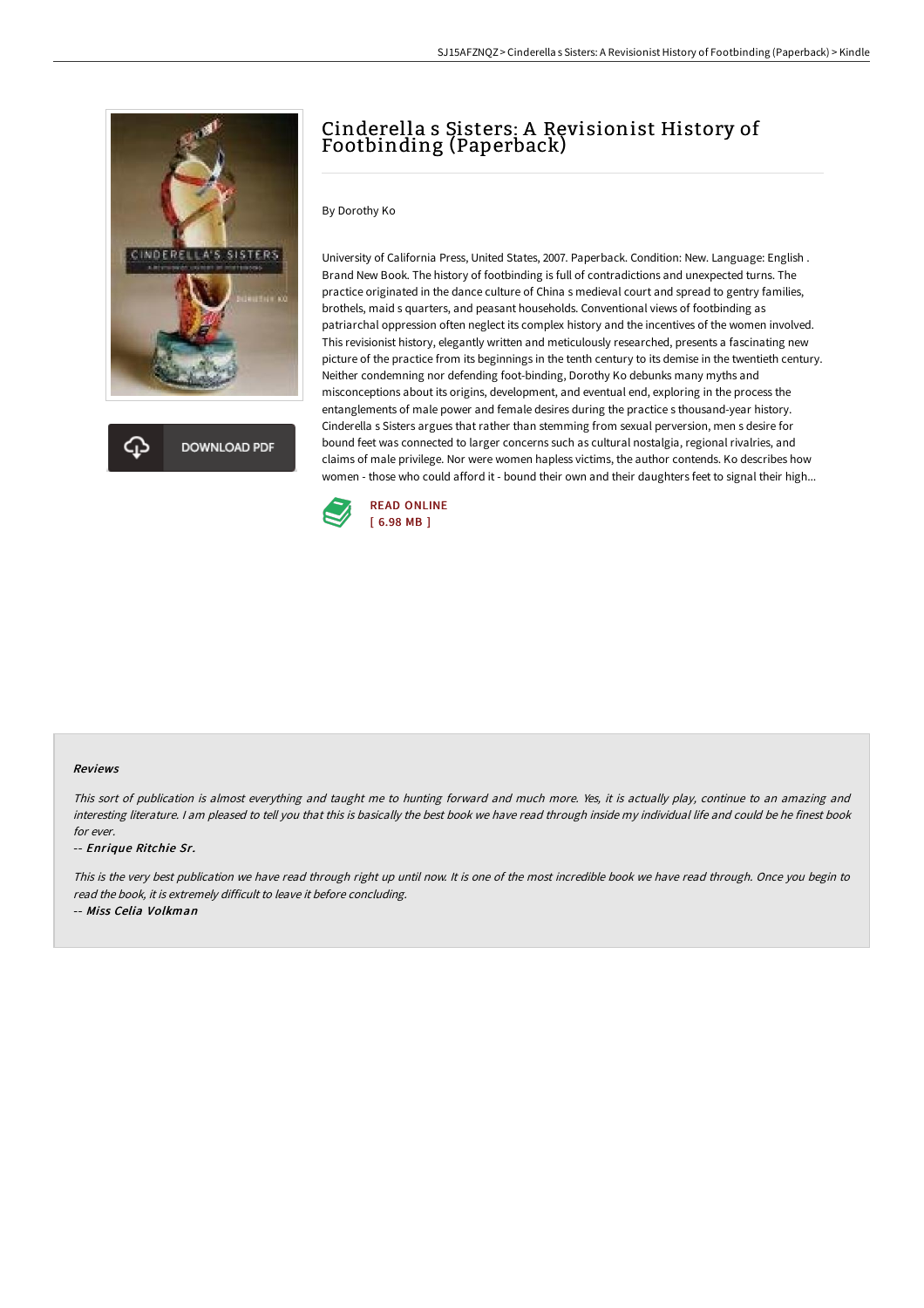

**DOWNLOAD PDF** 

# Cinderella s Sisters: A Revisionist History of Footbinding (Paperback)

## By Dorothy Ko

University of California Press, United States, 2007. Paperback. Condition: New. Language: English . Brand New Book. The history of footbinding is full of contradictions and unexpected turns. The practice originated in the dance culture of China s medieval court and spread to gentry families, brothels, maid s quarters, and peasant households. Conventional views of footbinding as patriarchal oppression often neglect its complex history and the incentives of the women involved. This revisionist history, elegantly written and meticulously researched, presents a fascinating new picture of the practice from its beginnings in the tenth century to its demise in the twentieth century. Neither condemning nor defending foot-binding, Dorothy Ko debunks many myths and misconceptions about its origins, development, and eventual end, exploring in the process the entanglements of male power and female desires during the practice s thousand-year history. Cinderella s Sisters argues that rather than stemming from sexual perversion, men s desire for bound feet was connected to larger concerns such as cultural nostalgia, regional rivalries, and claims of male privilege. Nor were women hapless victims, the author contends. Ko describes how women - those who could afford it - bound their own and their daughters feet to signal their high...



#### Reviews

This sort of publication is almost everything and taught me to hunting forward and much more. Yes, it is actually play, continue to an amazing and interesting literature. <sup>I</sup> am pleased to tell you that this is basically the best book we have read through inside my individual life and could be he finest book for ever.

-- Enrique Ritchie Sr.

This is the very best publication we have read through right up until now. It is one of the most incredible book we have read through. Once you begin to read the book, it is extremely difficult to leave it before concluding.

-- Miss Celia Volkman